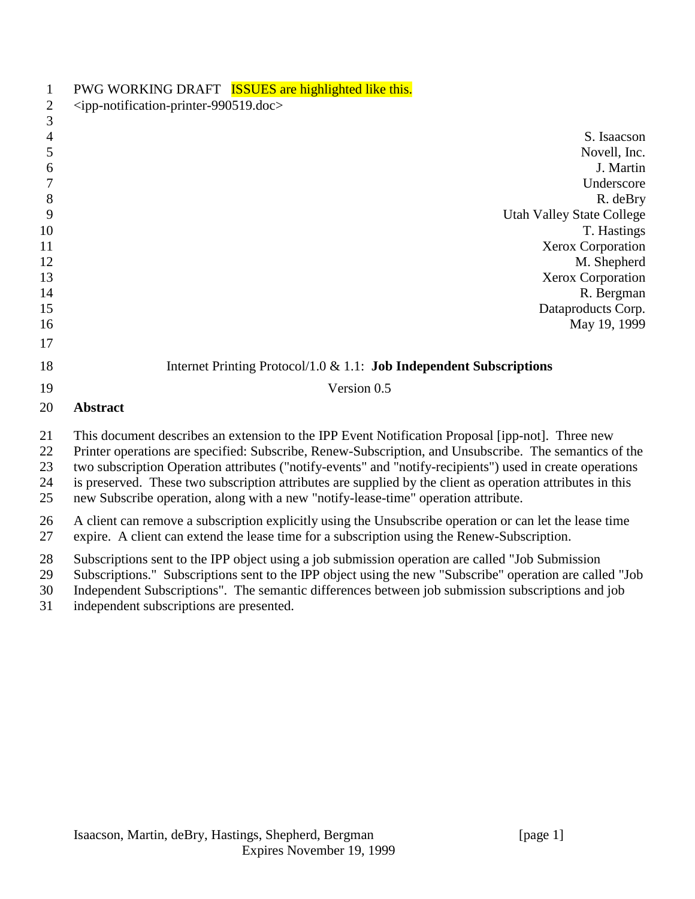| $\mathbf 1$<br>$\mathbf{2}$<br>3 | PWG WORKING DRAFT <b>ISSUES</b> are highlighted like this.<br><ipp-notification-printer-990519.doc></ipp-notification-printer-990519.doc>                                                                                                                                                                                                                                                                                                                                                                                   |
|----------------------------------|-----------------------------------------------------------------------------------------------------------------------------------------------------------------------------------------------------------------------------------------------------------------------------------------------------------------------------------------------------------------------------------------------------------------------------------------------------------------------------------------------------------------------------|
| $\overline{4}$                   | S. Isaacson                                                                                                                                                                                                                                                                                                                                                                                                                                                                                                                 |
| 5                                | Novell, Inc.                                                                                                                                                                                                                                                                                                                                                                                                                                                                                                                |
| 6                                | J. Martin                                                                                                                                                                                                                                                                                                                                                                                                                                                                                                                   |
| 7                                | Underscore                                                                                                                                                                                                                                                                                                                                                                                                                                                                                                                  |
| 8                                | R. deBry                                                                                                                                                                                                                                                                                                                                                                                                                                                                                                                    |
| 9                                | <b>Utah Valley State College</b>                                                                                                                                                                                                                                                                                                                                                                                                                                                                                            |
| 10                               | T. Hastings                                                                                                                                                                                                                                                                                                                                                                                                                                                                                                                 |
| 11                               | Xerox Corporation                                                                                                                                                                                                                                                                                                                                                                                                                                                                                                           |
| 12<br>13                         | M. Shepherd                                                                                                                                                                                                                                                                                                                                                                                                                                                                                                                 |
| 14                               | Xerox Corporation<br>R. Bergman                                                                                                                                                                                                                                                                                                                                                                                                                                                                                             |
| 15                               | Dataproducts Corp.                                                                                                                                                                                                                                                                                                                                                                                                                                                                                                          |
| 16                               | May 19, 1999                                                                                                                                                                                                                                                                                                                                                                                                                                                                                                                |
| 17                               |                                                                                                                                                                                                                                                                                                                                                                                                                                                                                                                             |
| 18                               | Internet Printing Protocol/1.0 $& 1.1$ : <b>Job Independent Subscriptions</b>                                                                                                                                                                                                                                                                                                                                                                                                                                               |
| 19                               | Version 0.5                                                                                                                                                                                                                                                                                                                                                                                                                                                                                                                 |
| 20                               | <b>Abstract</b>                                                                                                                                                                                                                                                                                                                                                                                                                                                                                                             |
| 21<br>22<br>23<br>24<br>25       | This document describes an extension to the IPP Event Notification Proposal [ipp-not]. Three new<br>Printer operations are specified: Subscribe, Renew-Subscription, and Unsubscribe. The semantics of the<br>two subscription Operation attributes ("notify-events" and "notify-recipients") used in create operations<br>is preserved. These two subscription attributes are supplied by the client as operation attributes in this<br>new Subscribe operation, along with a new "notify-lease-time" operation attribute. |
| 26<br>27                         | A client can remove a subscription explicitly using the Unsubscribe operation or can let the lease time<br>expire. A client can extend the lease time for a subscription using the Renew-Subscription.                                                                                                                                                                                                                                                                                                                      |
| 28<br>29<br>30                   | Subscriptions sent to the IPP object using a job submission operation are called "Job Submission"<br>Subscriptions." Subscriptions sent to the IPP object using the new "Subscribe" operation are called "Job<br>Independent Subscriptions". The semantic differences between job submission subscriptions and job                                                                                                                                                                                                          |

independent subscriptions are presented.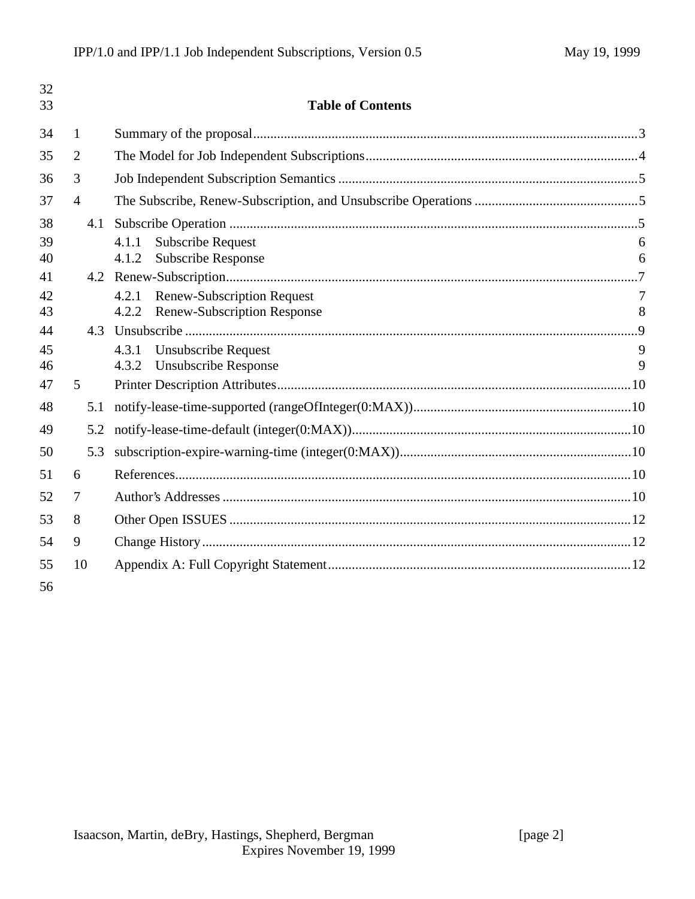| 32<br>33 |                | <b>Table of Contents</b>                                                                  |                     |
|----------|----------------|-------------------------------------------------------------------------------------------|---------------------|
| 34       | 1              |                                                                                           |                     |
| 35       | $\overline{2}$ |                                                                                           |                     |
| 36       | 3              |                                                                                           |                     |
| 37       | $\overline{4}$ |                                                                                           |                     |
| 38       | 4.1            |                                                                                           |                     |
| 39       |                | <b>Subscribe Request</b><br>4.1.1                                                         | 6                   |
| 40       |                | <b>Subscribe Response</b><br>4.1.2                                                        | 6                   |
| 41       |                |                                                                                           |                     |
| 42<br>43 |                | <b>Renew-Subscription Request</b><br>4.2.1<br><b>Renew-Subscription Response</b><br>4.2.2 | $\overline{7}$<br>8 |
| 44       | 4.3            |                                                                                           |                     |
| 45       |                | <b>Unsubscribe Request</b><br>4.3.1                                                       | 9                   |
| 46       |                | <b>Unsubscribe Response</b><br>4.3.2                                                      | 9                   |
| 47       | 5              |                                                                                           |                     |
| 48       | 5.1            |                                                                                           |                     |
| 49       | 5.2            |                                                                                           |                     |
| 50       | 5.3            |                                                                                           |                     |
| 51       | 6              |                                                                                           |                     |
| 52       | 7              |                                                                                           |                     |
| 53       | 8              |                                                                                           |                     |
| 54       | 9              |                                                                                           |                     |
| 55       | 10             |                                                                                           |                     |
| 56       |                |                                                                                           |                     |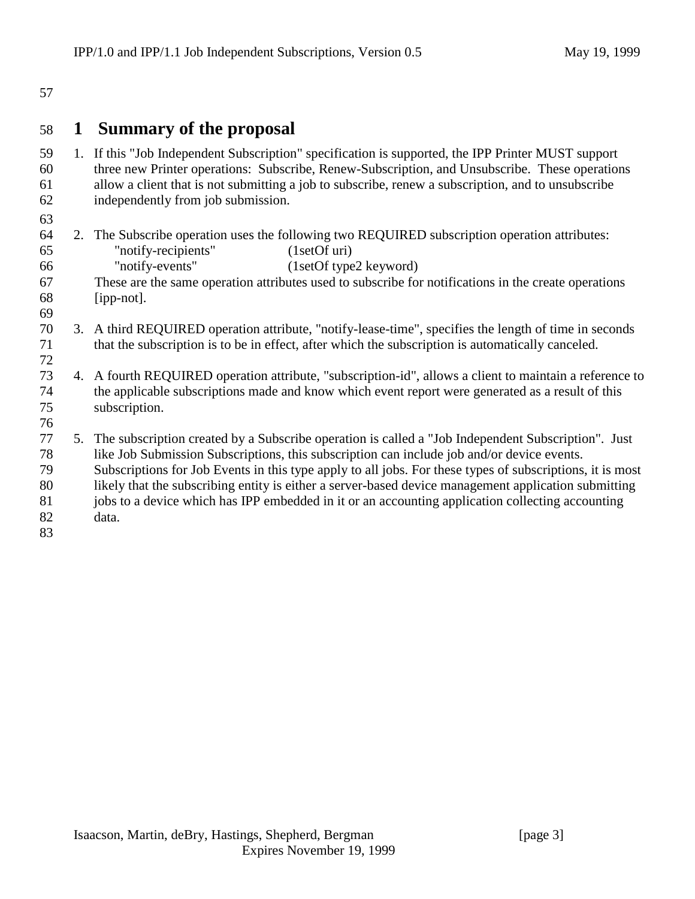#### 

### **1 Summary of the proposal**

- 1. If this "Job Independent Subscription" specification is supported, the IPP Printer MUST support three new Printer operations: Subscribe, Renew-Subscription, and Unsubscribe. These operations allow a client that is not submitting a job to subscribe, renew a subscription, and to unsubscribe independently from job submission.
- 

- 2. The Subscribe operation uses the following two REQUIRED subscription operation attributes: 65 "notify-recipients" (1setOf uri)<br>66 "notify-events" (1setOf tvpe "notify-events" (1setOf type2 keyword)
- These are the same operation attributes used to subscribe for notifications in the create operations [ipp-not].
- 
- 3. A third REQUIRED operation attribute, "notify-lease-time", specifies the length of time in seconds that the subscription is to be in effect, after which the subscription is automatically canceled.
- 4. A fourth REQUIRED operation attribute, "subscription-id", allows a client to maintain a reference to the applicable subscriptions made and know which event report were generated as a result of this subscription.
- 5. The subscription created by a Subscribe operation is called a "Job Independent Subscription". Just like Job Submission Subscriptions, this subscription can include job and/or device events. Subscriptions for Job Events in this type apply to all jobs. For these types of subscriptions, it is most likely that the subscribing entity is either a server-based device management application submitting jobs to a device which has IPP embedded in it or an accounting application collecting accounting data.
-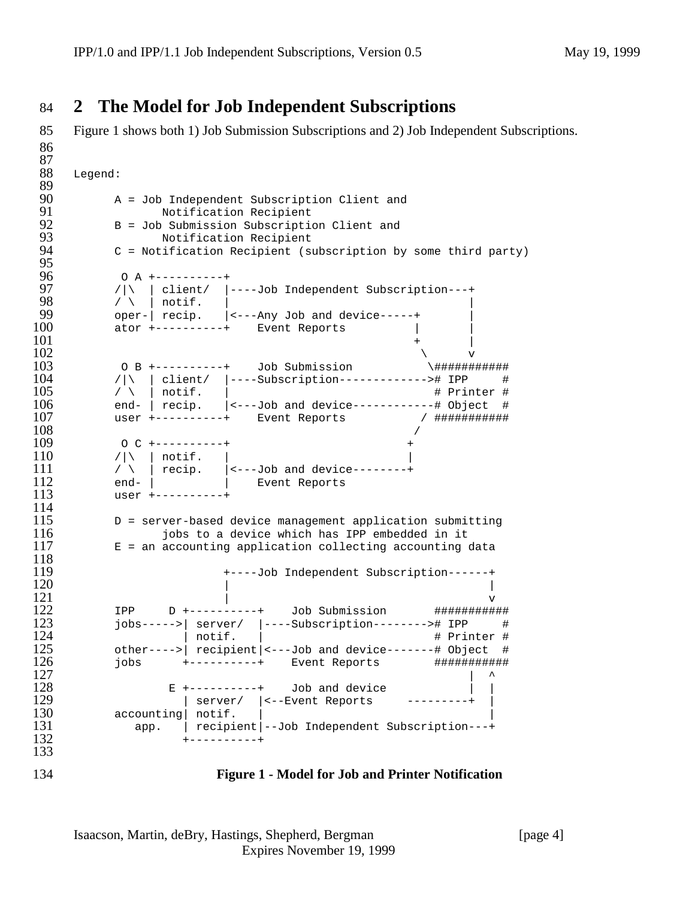# 84 **2 The Model for Job Independent Subscriptions**

85 Figure 1 shows both 1) Job Submission Subscriptions and 2) Job Independent Subscriptions.

```
86
 \frac{87}{88}Legend:
 89<br>90
 90 A = Job Independent Subscription Client and<br>91 Motification Recipient
 91 Notification Recipient
 92 B = Job Submission Subscription Client and<br>93 Motification Recipient
 93 Notification Recipient
           C = Notification Recipient (subscription by some third party)
 95<br>96
 96 0 A +----------+<br>97 / | \ | client/ |-
 97 /|\ | client/ |----Job Independent Subscription---+<br>98 / \ | notif. |
 98 / \ | notif. | |
99 oper-| recip. |_{-}---Any Job and device-----+<br>100 ator +----------+ Event Reports
           ator +-----------+ Event Reports |
101 +102 \times103 0 B +---------+ Job Submission \##############
104 /|\ | client/ |----Subscription------------># IPP #<br>105 / \ | notif. | # Printer #
105 / \ | notif. | \qquad \qquad # Printer # 106 \qquad \qquad end- | recip. | <---Job and device-----------# Object #
106 end- | recip. | (---Job and device-----------# Object #<br>107 user +----------+ Event Reports / ############
107 user +----------+ Event Reports / ###########
108 /
109 O C +----------+ +
110 /|\ | notif. |
111 / \ | recip. |<---Job and device--------+
\begin{array}{ccc} 112 & \text{end-} & | & \text{Event Reports} \ 113 & \text{user +-----} & \end{array}113 user +----------+
\frac{114}{115}115 D = server-based device management application submitting<br>116 0 0 0 0 0 0 0 0 0 0 0 0 0 0 0 0 1 0 0 1 0 0 1 0 0 1 0 0 1 0 0 1 0 0 1 0 1 0 1 0 1 0 1 0 1 0 1 0 1 0 1 0 1 0 1 0 1 0 1 0 1 0 1 0 1 0 1 0 1 0 1 0 1 0 1 0 1 0 
116 jobs to a device which has IPP embedded in it
        E = an accounting application collecting accounting data
\frac{118}{119}119 +----Job Independent Subscription------+
120121 v
122 IPP D +----------+ Job Submission #############<br>123 jobs----->| server/ |----Subscription--------># IPP #<br>124 | notif. | # Printer #
           jobs----->| server/ |----Subscription--------># IPP #
# Printer # | notif. |<br>125 other----> recipient |<---Job and device-------# Object #
125 other---->| recipient|<---Job and device-------# Object #
126 jobs +----------+ Event Reports ###########
127128 E +----------+ Job and device | \ |129 | server/ | <--Event Reports ---------+ |<br>130 accounting notif. |
120 E +--------<br>129 | server/<br>130 accounting| notif.<br>131 app. | recipie
131 app. | recipient|--Job Independent Subscription---+
                     132 +----------+
133
```
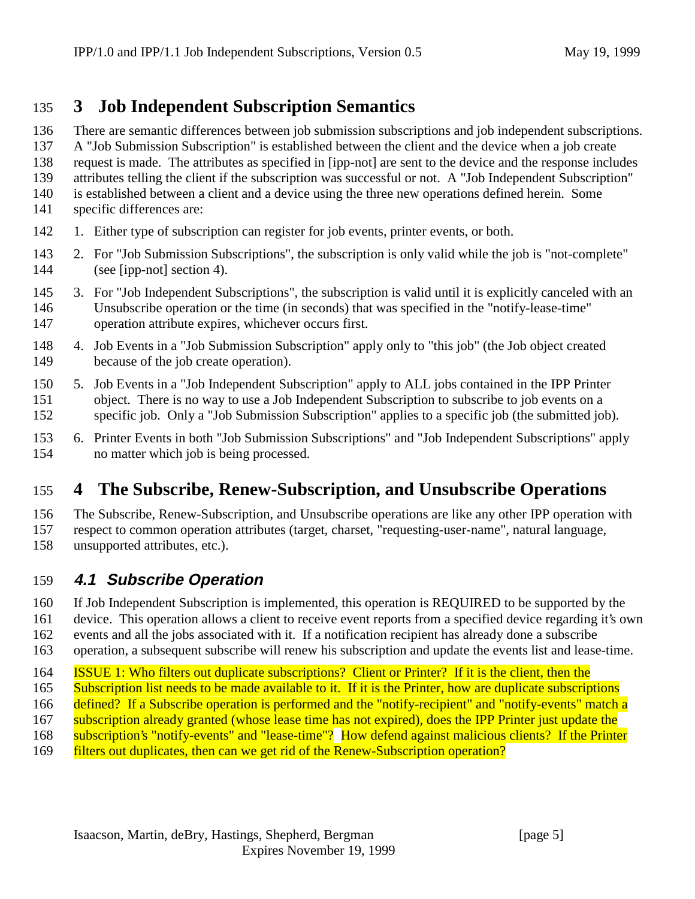# **3 Job Independent Subscription Semantics**

There are semantic differences between job submission subscriptions and job independent subscriptions.

A "Job Submission Subscription" is established between the client and the device when a job create

request is made. The attributes as specified in [ipp-not] are sent to the device and the response includes

- attributes telling the client if the subscription was successful or not. A "Job Independent Subscription"
- is established between a client and a device using the three new operations defined herein. Some specific differences are:
- 1. Either type of subscription can register for job events, printer events, or both.
- 2. For "Job Submission Subscriptions", the subscription is only valid while the job is "not-complete" (see [ipp-not] section 4).
- 3. For "Job Independent Subscriptions", the subscription is valid until it is explicitly canceled with an Unsubscribe operation or the time (in seconds) that was specified in the "notify-lease-time" operation attribute expires, whichever occurs first.
- 4. Job Events in a "Job Submission Subscription" apply only to "this job" (the Job object created because of the job create operation).
- 5. Job Events in a "Job Independent Subscription" apply to ALL jobs contained in the IPP Printer object. There is no way to use a Job Independent Subscription to subscribe to job events on a specific job. Only a "Job Submission Subscription" applies to a specific job (the submitted job).
- 6. Printer Events in both "Job Submission Subscriptions" and "Job Independent Subscriptions" apply no matter which job is being processed.

# **4 The Subscribe, Renew-Subscription, and Unsubscribe Operations**

 The Subscribe, Renew-Subscription, and Unsubscribe operations are like any other IPP operation with respect to common operation attributes (target, charset, "requesting-user-name", natural language,

unsupported attributes, etc.).

# **4.1 Subscribe Operation**

If Job Independent Subscription is implemented, this operation is REQUIRED to be supported by the

device. This operation allows a client to receive event reports from a specified device regarding it's own

events and all the jobs associated with it. If a notification recipient has already done a subscribe

operation, a subsequent subscribe will renew his subscription and update the events list and lease-time.

- ISSUE 1: Who filters out duplicate subscriptions? Client or Printer? If it is the client, then the
- Subscription list needs to be made available to it. If it is the Printer, how are duplicate subscriptions
- defined? If a Subscribe operation is performed and the "notify-recipient" and "notify-events" match a
- 167 subscription already granted (whose lease time has not expired), does the IPP Printer just update the
- 168 subscription's "notify-events" and "lease-time"? How defend against malicious clients? If the Printer
- filters out duplicates, then can we get rid of the Renew-Subscription operation?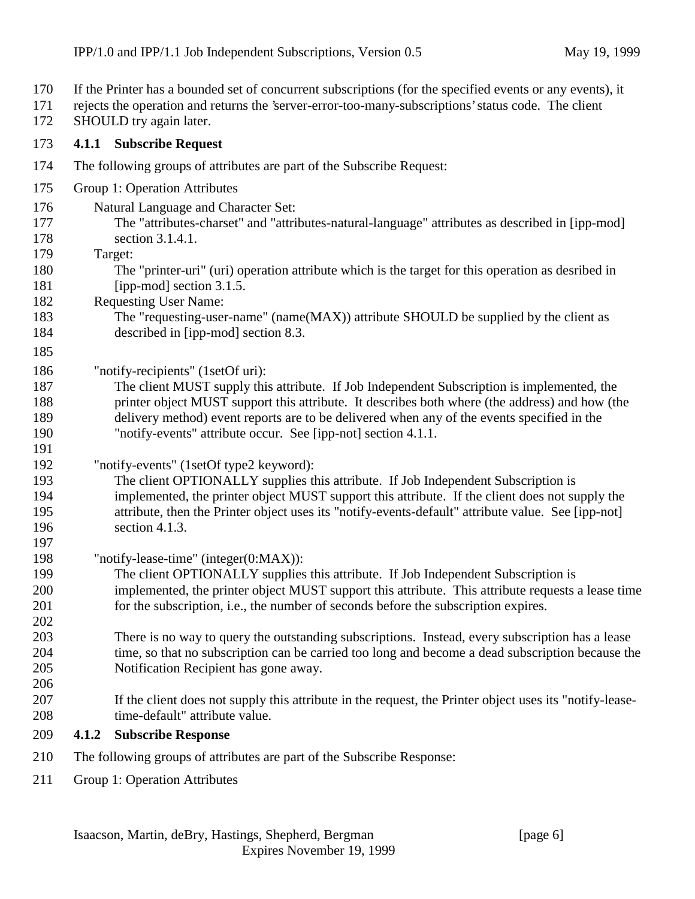- If the Printer has a bounded set of concurrent subscriptions (for the specified events or any events), it
- rejects the operation and returns the 'server-error-too-many-subscriptions' status code. The client
- 172 SHOULD try again later.

#### **4.1.1 Subscribe Request**

- The following groups of attributes are part of the Subscribe Request:
- Group 1: Operation Attributes
- Natural Language and Character Set:
- The "attributes-charset" and "attributes-natural-language" attributes as described in [ipp-mod] section 3.1.4.1.
- Target:
- The "printer-uri" (uri) operation attribute which is the target for this operation as desribed in 181 [ipp-mod] section 3.1.5.
- Requesting User Name:
- The "requesting-user-name" (name(MAX)) attribute SHOULD be supplied by the client as 184 described in [ipp-mod] section 8.3.
- 

- "notify-recipients" (1setOf uri):
- The client MUST supply this attribute. If Job Independent Subscription is implemented, the printer object MUST support this attribute. It describes both where (the address) and how (the delivery method) event reports are to be delivered when any of the events specified in the "notify-events" attribute occur. See [ipp-not] section 4.1.1.
- "notify-events" (1setOf type2 keyword):
- The client OPTIONALLY supplies this attribute. If Job Independent Subscription is implemented, the printer object MUST support this attribute. If the client does not supply the attribute, then the Printer object uses its "notify-events-default" attribute value. See [ipp-not] section 4.1.3.
- "notify-lease-time" (integer(0:MAX)):
- The client OPTIONALLY supplies this attribute. If Job Independent Subscription is implemented, the printer object MUST support this attribute. This attribute requests a lease time for the subscription, i.e., the number of seconds before the subscription expires.
- There is no way to query the outstanding subscriptions. Instead, every subscription has a lease time, so that no subscription can be carried too long and become a dead subscription because the Notification Recipient has gone away.
- If the client does not supply this attribute in the request, the Printer object uses its "notify-lease-208 time-default" attribute value.
- **4.1.2 Subscribe Response**
- The following groups of attributes are part of the Subscribe Response:
- Group 1: Operation Attributes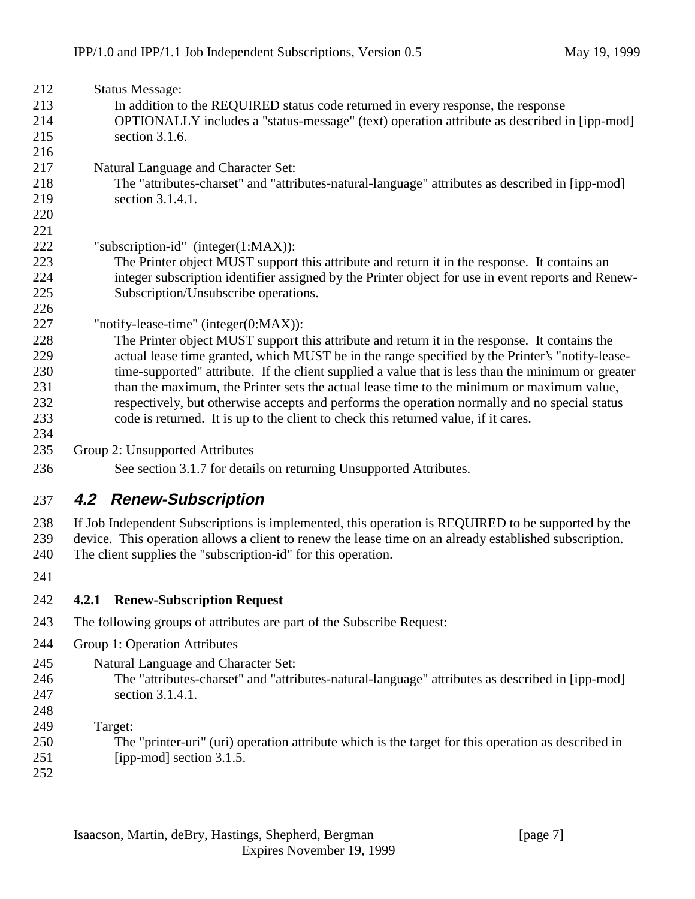| 212        | <b>Status Message:</b>                                                                                 |  |  |
|------------|--------------------------------------------------------------------------------------------------------|--|--|
| 213        | In addition to the REQUIRED status code returned in every response, the response                       |  |  |
| 214        | OPTIONALLY includes a "status-message" (text) operation attribute as described in [ipp-mod]            |  |  |
| 215        | section 3.1.6.                                                                                         |  |  |
| 216        |                                                                                                        |  |  |
| 217        | Natural Language and Character Set:                                                                    |  |  |
| 218        | The "attributes-charset" and "attributes-natural-language" attributes as described in [ipp-mod]        |  |  |
| 219        | section 3.1.4.1.                                                                                       |  |  |
| 220        |                                                                                                        |  |  |
| 221        |                                                                                                        |  |  |
| 222        | "subscription-id" (integer $(1:MAX)$ ):                                                                |  |  |
| 223        | The Printer object MUST support this attribute and return it in the response. It contains an           |  |  |
| 224        | integer subscription identifier assigned by the Printer object for use in event reports and Renew-     |  |  |
| 225        | Subscription/Unsubscribe operations.                                                                   |  |  |
| 226        |                                                                                                        |  |  |
| 227        | "notify-lease-time" (integer(0:MAX)):                                                                  |  |  |
| 228        | The Printer object MUST support this attribute and return it in the response. It contains the          |  |  |
| 229        | actual lease time granted, which MUST be in the range specified by the Printer's "notify-lease-        |  |  |
| 230        | time-supported" attribute. If the client supplied a value that is less than the minimum or greater     |  |  |
| 231        | than the maximum, the Printer sets the actual lease time to the minimum or maximum value,              |  |  |
| 232        | respectively, but otherwise accepts and performs the operation normally and no special status          |  |  |
| 233        | code is returned. It is up to the client to check this returned value, if it cares.                    |  |  |
| 234<br>235 |                                                                                                        |  |  |
|            | Group 2: Unsupported Attributes                                                                        |  |  |
| 236        | See section 3.1.7 for details on returning Unsupported Attributes.                                     |  |  |
| 237        | 4.2 Renew-Subscription                                                                                 |  |  |
| 238        | If Job Independent Subscriptions is implemented, this operation is REQUIRED to be supported by the     |  |  |
| 239        | device. This operation allows a client to renew the lease time on an already established subscription. |  |  |
| 240        | The client supplies the "subscription-id" for this operation.                                          |  |  |
| 241        |                                                                                                        |  |  |
|            |                                                                                                        |  |  |
| 242        | 4.2.1 Renew-Subscription Request                                                                       |  |  |
| 243        | The following groups of attributes are part of the Subscribe Request:                                  |  |  |
| 244        | Group 1: Operation Attributes                                                                          |  |  |
| 245        | Natural Language and Character Set:                                                                    |  |  |
| 246        | The "attributes-charset" and "attributes-natural-language" attributes as described in [ipp-mod]        |  |  |
| 247        | section 3.1.4.1.                                                                                       |  |  |
| 248        |                                                                                                        |  |  |
| 249        | Target:                                                                                                |  |  |
| 250        | The "printer-uri" (uri) operation attribute which is the target for this operation as described in     |  |  |
| 251        | [ipp-mod] section 3.1.5.                                                                               |  |  |
| 252        |                                                                                                        |  |  |
|            |                                                                                                        |  |  |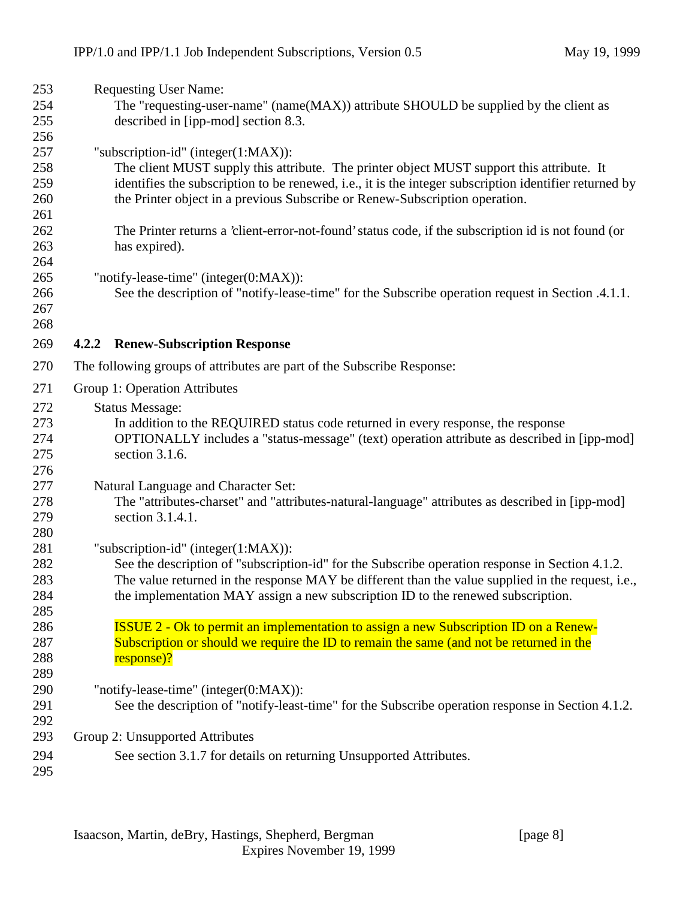| 253        | <b>Requesting User Name:</b>                                                                                                                                                           |
|------------|----------------------------------------------------------------------------------------------------------------------------------------------------------------------------------------|
| 254        | The "requesting-user-name" (name(MAX)) attribute SHOULD be supplied by the client as                                                                                                   |
| 255        | described in [ipp-mod] section 8.3.                                                                                                                                                    |
| 256        |                                                                                                                                                                                        |
| 257        | "subscription-id" (integer(1:MAX)):                                                                                                                                                    |
| 258        | The client MUST supply this attribute. The printer object MUST support this attribute. It                                                                                              |
| 259        | identifies the subscription to be renewed, i.e., it is the integer subscription identifier returned by                                                                                 |
| 260        | the Printer object in a previous Subscribe or Renew-Subscription operation.                                                                                                            |
| 261        |                                                                                                                                                                                        |
| 262        | The Printer returns a 'client-error-not-found' status code, if the subscription id is not found (or                                                                                    |
| 263        | has expired).                                                                                                                                                                          |
| 264        |                                                                                                                                                                                        |
| 265        | "notify-lease-time" (integer(0:MAX)):                                                                                                                                                  |
| 266        | See the description of "notify-lease-time" for the Subscribe operation request in Section .4.1.1.                                                                                      |
| 267        |                                                                                                                                                                                        |
| 268        |                                                                                                                                                                                        |
| 269        | 4.2.2 Renew-Subscription Response                                                                                                                                                      |
| 270        | The following groups of attributes are part of the Subscribe Response:                                                                                                                 |
| 271        | Group 1: Operation Attributes                                                                                                                                                          |
| 272        | <b>Status Message:</b>                                                                                                                                                                 |
| 273        | In addition to the REQUIRED status code returned in every response, the response                                                                                                       |
| 274        | OPTIONALLY includes a "status-message" (text) operation attribute as described in [ipp-mod]                                                                                            |
| 275        | section 3.1.6.                                                                                                                                                                         |
| 276        |                                                                                                                                                                                        |
| 277        | Natural Language and Character Set:                                                                                                                                                    |
| 278        | The "attributes-charset" and "attributes-natural-language" attributes as described in [ipp-mod]                                                                                        |
| 279        | section 3.1.4.1.                                                                                                                                                                       |
| 280        |                                                                                                                                                                                        |
| 281        | "subscription-id" (integer $(1:MAX)$ ):                                                                                                                                                |
| 282        | See the description of "subscription-id" for the Subscribe operation response in Section 4.1.2.                                                                                        |
| 283        | The value returned in the response MAY be different than the value supplied in the request, i.e.,                                                                                      |
| 284        | the implementation MAY assign a new subscription ID to the renewed subscription.                                                                                                       |
| 285        |                                                                                                                                                                                        |
| 286<br>287 | <b>ISSUE 2 - Ok to permit an implementation to assign a new Subscription ID on a Renew-</b><br>Subscription or should we require the ID to remain the same (and not be returned in the |
| 288        | response)?                                                                                                                                                                             |
| 289        |                                                                                                                                                                                        |
| 290        | "notify-lease-time" (integer(0:MAX)):                                                                                                                                                  |
| 291        | See the description of "notify-least-time" for the Subscribe operation response in Section 4.1.2.                                                                                      |
| 292        |                                                                                                                                                                                        |
| 293        | Group 2: Unsupported Attributes                                                                                                                                                        |
| 294        | See section 3.1.7 for details on returning Unsupported Attributes.                                                                                                                     |
| 295        |                                                                                                                                                                                        |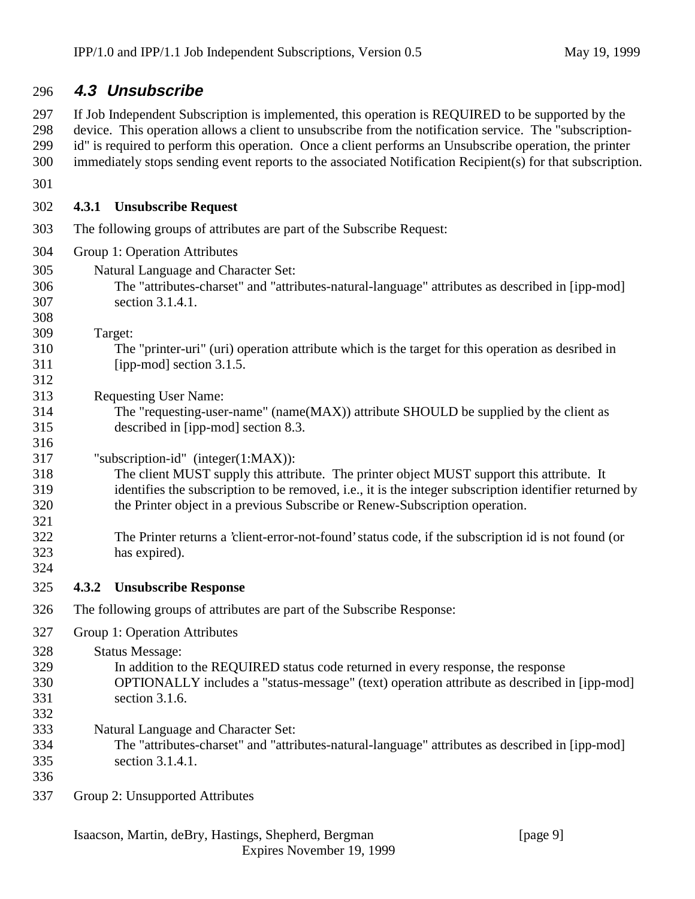### **4.3 Unsubscribe**

 If Job Independent Subscription is implemented, this operation is REQUIRED to be supported by the device. This operation allows a client to unsubscribe from the notification service. The "subscription- id" is required to perform this operation. Once a client performs an Unsubscribe operation, the printer immediately stops sending event reports to the associated Notification Recipient(s) for that subscription.

**4.3.1 Unsubscribe Request**

- The following groups of attributes are part of the Subscribe Request:
- Group 1: Operation Attributes
- Natural Language and Character Set: The "attributes-charset" and "attributes-natural-language" attributes as described in [ipp-mod] section 3.1.4.1.
- Target:
- The "printer-uri" (uri) operation attribute which is the target for this operation as desribed in [ipp-mod] section 3.1.5.

Requesting User Name:

- The "requesting-user-name" (name(MAX)) attribute SHOULD be supplied by the client as described in [ipp-mod] section 8.3.
- "subscription-id" (integer(1:MAX)):
- The client MUST supply this attribute. The printer object MUST support this attribute. It identifies the subscription to be removed, i.e., it is the integer subscription identifier returned by the Printer object in a previous Subscribe or Renew-Subscription operation.
- The Printer returns a 'client-error-not-found' status code, if the subscription id is not found (or has expired).
- 

- **4.3.2 Unsubscribe Response**
- The following groups of attributes are part of the Subscribe Response:

Group 1: Operation Attributes

Status Message:

- In addition to the REQUIRED status code returned in every response, the response OPTIONALLY includes a "status-message" (text) operation attribute as described in [ipp-mod] section 3.1.6.
- 
- Natural Language and Character Set:
- The "attributes-charset" and "attributes-natural-language" attributes as described in [ipp-mod] section 3.1.4.1.
- 
- Group 2: Unsupported Attributes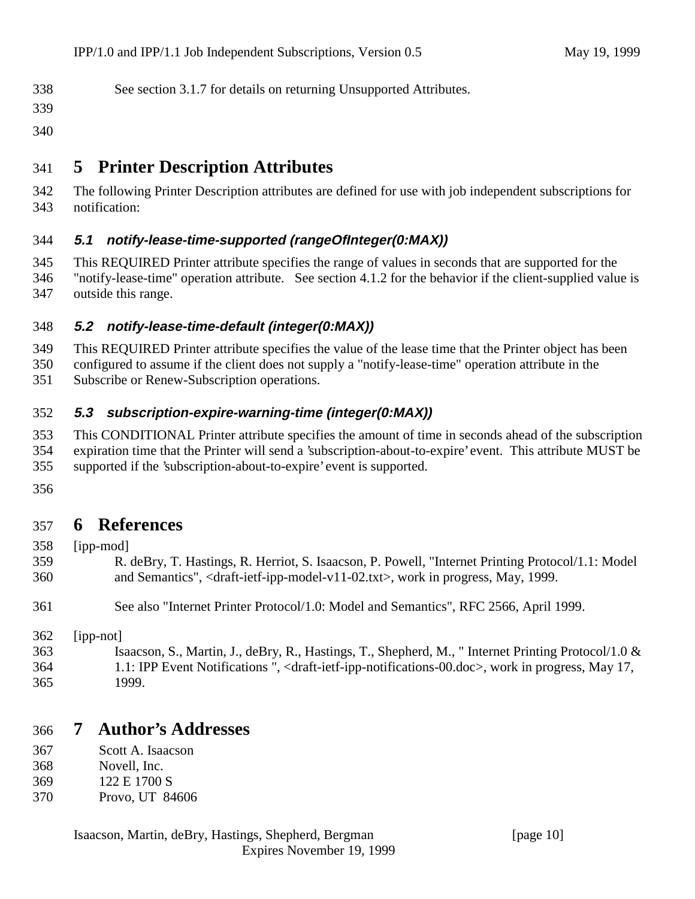| 338 | See section 3.1.7 for details on returning Unsupported Attributes. |  |  |
|-----|--------------------------------------------------------------------|--|--|
|     |                                                                    |  |  |

- 
- 

# **5 Printer Description Attributes**

 The following Printer Description attributes are defined for use with job independent subscriptions for notification:

### **5.1 notify-lease-time-supported (rangeOfInteger(0:MAX))**

- This REQUIRED Printer attribute specifies the range of values in seconds that are supported for the "notify-lease-time" operation attribute. See section 4.1.2 for the behavior if the client-supplied value is
- outside this range.

### **5.2 notify-lease-time-default (integer(0:MAX))**

- This REQUIRED Printer attribute specifies the value of the lease time that the Printer object has been
- configured to assume if the client does not supply a "notify-lease-time" operation attribute in the
- Subscribe or Renew-Subscription operations.

### **5.3 subscription-expire-warning-time (integer(0:MAX))**

- This CONDITIONAL Printer attribute specifies the amount of time in seconds ahead of the subscription expiration time that the Printer will send a 'subscription-about-to-expire' event. This attribute MUST be supported if the 'subscription-about-to-expire' event is supported.
- 

### **6 References**

- [ipp-mod]
- R. deBry, T. Hastings, R. Herriot, S. Isaacson, P. Powell, "Internet Printing Protocol/1.1: Model and Semantics", <draft-ietf-ipp-model-v11-02.txt>, work in progress, May, 1999.
- See also "Internet Printer Protocol/1.0: Model and Semantics", RFC 2566, April 1999.
- [ipp-not]
- Isaacson, S., Martin, J., deBry, R., Hastings, T., Shepherd, M., " Internet Printing Protocol/1.0 & 1.1: IPP Event Notifications ", <draft-ietf-ipp-notifications-00.doc>, work in progress, May 17, 1999.

### **7 Author's Addresses**

- Scott A. Isaacson
- Novell, Inc.
- 122 E 1700 S
- Provo, UT 84606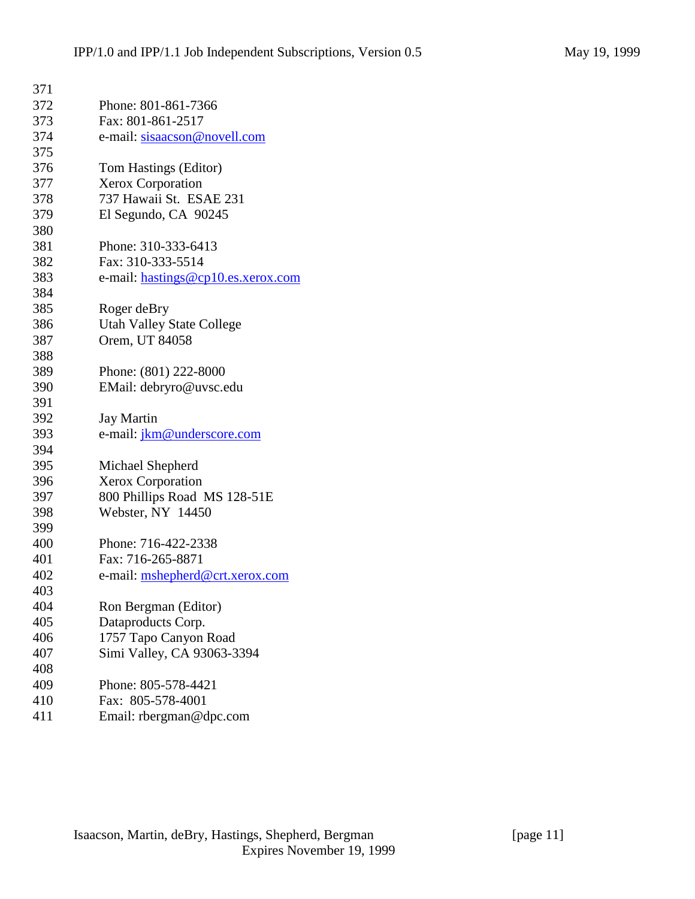| 371 |                                    |
|-----|------------------------------------|
| 372 | Phone: 801-861-7366                |
| 373 | Fax: 801-861-2517                  |
| 374 | e-mail: sisaacson@novell.com       |
| 375 |                                    |
| 376 | Tom Hastings (Editor)              |
| 377 | Xerox Corporation                  |
| 378 | 737 Hawaii St. ESAE 231            |
| 379 | El Segundo, CA 90245               |
| 380 |                                    |
| 381 | Phone: 310-333-6413                |
| 382 | Fax: 310-333-5514                  |
| 383 | e-mail: hastings@cp10.es.xerox.com |
| 384 |                                    |
| 385 | Roger deBry                        |
| 386 | <b>Utah Valley State College</b>   |
| 387 | Orem, UT 84058                     |
| 388 |                                    |
| 389 | Phone: (801) 222-8000              |
| 390 | EMail: debryro@uvsc.edu            |
| 391 |                                    |
| 392 | <b>Jay Martin</b>                  |
| 393 | e-mail: jkm@underscore.com         |
| 394 |                                    |
| 395 | Michael Shepherd                   |
| 396 | Xerox Corporation                  |
| 397 | 800 Phillips Road MS 128-51E       |
| 398 | Webster, NY 14450                  |
| 399 |                                    |
| 400 | Phone: 716-422-2338                |
| 401 | Fax: 716-265-8871                  |
| 402 | e-mail: mshepherd@crt.xerox.com    |
| 403 |                                    |
| 404 | Ron Bergman (Editor)               |
| 405 | Dataproducts Corp.                 |
| 406 | 1757 Tapo Canyon Road              |
| 407 | Simi Valley, CA 93063-3394         |
| 408 |                                    |
| 409 | Phone: 805-578-4421                |
| 410 | Fax: 805-578-4001                  |
| 411 | Email: rbergman@dpc.com            |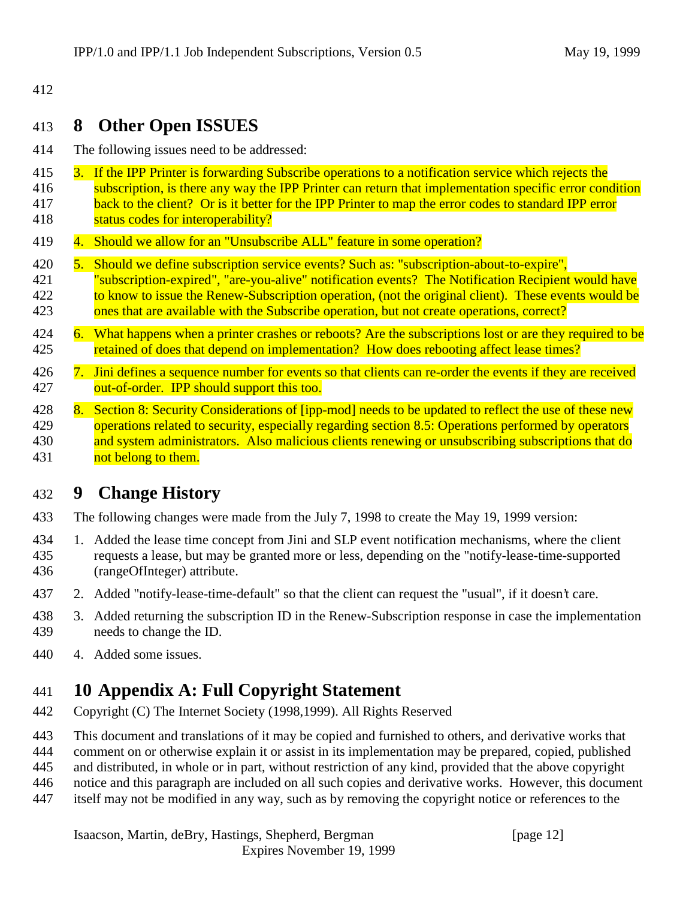#### 412

### 413 **8 Other Open ISSUES**

- 414 The following issues need to be addressed:
- 415 3. If the IPP Printer is forwarding Subscribe operations to a notification service which rejects the
- 416 subscription, is there any way the IPP Printer can return that implementation specific error condition 417 back to the client? Or is it better for the IPP Printer to map the error codes to standard IPP error
- 418 **status codes for interoperability?**
- 419 4. Should we allow for an "Unsubscribe ALL" feature in some operation?
- 420 5. Should we define subscription service events? Such as: "subscription-about-to-expire", 421 "subscription-expired", "are-you-alive" notification events? The Notification Recipient would have 422 to know to issue the Renew-Subscription operation, (not the original client). These events would be
- 423 ones that are available with the Subscribe operation, but not create operations, correct?
- 424 6. What happens when a printer crashes or reboots? Are the subscriptions lost or are they required to be 425 retained of does that depend on implementation? How does rebooting affect lease times?
- 426 7. Jini defines a sequence number for events so that clients can re-order the events if they are received 427 out-of-order. IPP should support this too.
- 428 8. Section 8: Security Considerations of [ipp-mod] needs to be updated to reflect the use of these new<br>429 **herefore onerations related to security, especially regarding section 8.5: Operations performed by operators**  $\alpha$  operations related to security, especially regarding section 8.5: Operations performed by operators 430 and system administrators. Also malicious clients renewing or unsubscribing subscriptions that do 431 **not belong to them.**

# 432 **9 Change History**

- 433 The following changes were made from the July 7, 1998 to create the May 19, 1999 version:
- 434 1. Added the lease time concept from Jini and SLP event notification mechanisms, where the client 435 requests a lease, but may be granted more or less, depending on the "notify-lease-time-supported 436 (rangeOfInteger) attribute.
- 437 2. Added "notify-lease-time-default" so that the client can request the "usual", if it doesn't care.
- 438 3. Added returning the subscription ID in the Renew-Subscription response in case the implementation 439 needs to change the ID.
- 440 4. Added some issues.

# 441 **10 Appendix A: Full Copyright Statement**

- 442 Copyright (C) The Internet Society (1998,1999). All Rights Reserved
- 443 This document and translations of it may be copied and furnished to others, and derivative works that
- 444 comment on or otherwise explain it or assist in its implementation may be prepared, copied, published
- 445 and distributed, in whole or in part, without restriction of any kind, provided that the above copyright
- 446 notice and this paragraph are included on all such copies and derivative works. However, this document
- 447 itself may not be modified in any way, such as by removing the copyright notice or references to the